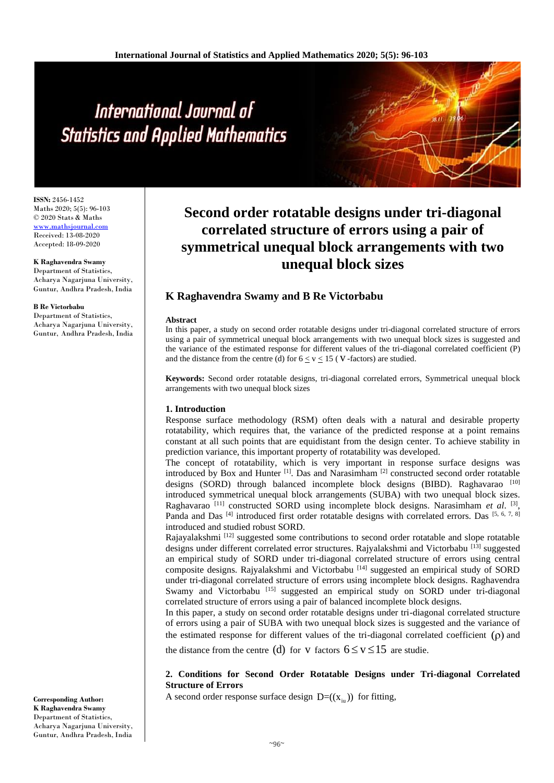# International Journal of **Statistics and Applied Mathematics**

**ISSN:** 2456-1452 Maths 2020; 5(5): 96-103 © 2020 Stats & Maths <www.mathsjournal.com> Received: 13-08-2020 Accepted: 18-09-2020

## **K Raghavendra Swamy**

Department of Statistics, Acharya Nagarjuna University, Guntur, Andhra Pradesh, India

#### **B Re Victorbabu**

Department of Statistics, Acharya Nagarjuna University, Guntur, Andhra Pradesh, India

**Second order rotatable designs under tri-diagonal correlated structure of errors using a pair of symmetrical unequal block arrangements with two unequal block sizes**

# **K Raghavendra Swamy and B Re Victorbabu**

### **Abstract**

In this paper, a study on second order rotatable designs under tri-diagonal correlated structure of errors using a pair of symmetrical unequal block arrangements with two unequal block sizes is suggested and the variance of the estimated response for different values of the tri-diagonal correlated coefficient (P) and the distance from the centre (d) for  $6 \le v \le 15$  (V-factors) are studied.

**Keywords:** Second order rotatable designs, tri-diagonal correlated errors, Symmetrical unequal block arrangements with two unequal block sizes

# **1. Introduction**

Response surface methodology (RSM) often deals with a natural and desirable property rotatability, which requires that, the variance of the predicted response at a point remains constant at all such points that are equidistant from the design center. To achieve stability in prediction variance, this important property of rotatability was developed.

The concept of rotatability, which is very important in response surface designs was introduced by Box and Hunter [1]. Das and Narasimham [2] constructed second order rotatable designs (SORD) through balanced incomplete block designs (BIBD). Raghavarao [10] introduced symmetrical unequal block arrangements (SUBA) with two unequal block sizes. Raghavarao<sup>[11]</sup> constructed SORD using incomplete block designs. Narasimham et al. <sup>[3]</sup>, Panda and Das<sup>[4]</sup> introduced first order rotatable designs with correlated errors. Das<sup>[5, 6, 7, 8]</sup> introduced and studied robust SORD.

Rajayalakshmi [12] suggested some contributions to second order rotatable and slope rotatable designs under different correlated error structures. Rajyalakshmi and Victorbabu <sup>[13]</sup> suggested an empirical study of SORD under tri-diagonal correlated structure of errors using central composite designs. Rajyalakshmi and Victorbabu [14] suggested an empirical study of SORD under tri-diagonal correlated structure of errors using incomplete block designs. Raghavendra Swamy and Victorbabu [15] suggested an empirical study on SORD under tri-diagonal correlated structure of errors using a pair of balanced incomplete block designs.

In this paper, a study on second order rotatable designs under tri-diagonal correlated structure of errors using a pair of SUBA with two unequal block sizes is suggested and the variance of the estimated response for different values of the tri-diagonal correlated coefficient  $(\rho)$  and

the distance from the centre (d) for v factors  $6 \le v \le 15$  are studie.

# **2. Conditions for Second Order Rotatable Designs under Tri-diagonal Correlated Structure of Errors**

A second order response surface design  $D=(x_{i\omega})$  for fitting,

**Corresponding Author: K Raghavendra Swamy** Department of Statistics, Acharya Nagarjuna University, Guntur, Andhra Pradesh, India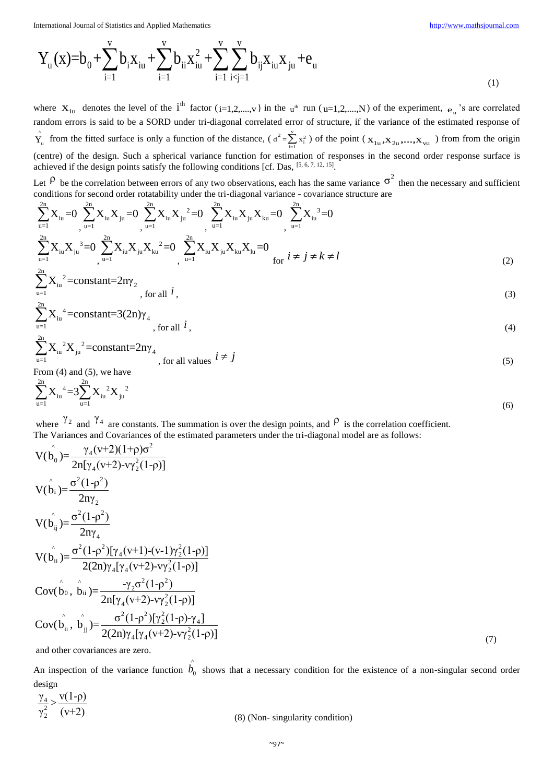(6)

International Journal of Statistics and Applied Mathematics\n
$$
Y_u(x)=b_0+\sum_{i=1}^v b_i x_{iu}+\sum_{i=1}^v b_{ii} x_{iu}^2+\sum_{i=1}^v \sum_{i\n(1)
$$

where  $X_{iu}$  denotes the level of the  $i^{th}$  factor ( $i=1,2,...,v$ ) in the  $u^{th}$  run ( $u=1,2,...,N$ ) of the experiment,  $e_{u}$ 's are correlated random errors is said to be a SORD under tri-diagonal correlated error of structure, if the variance of the estimated response of  $\hat{Y}_u$  from the fitted surface is only a function of the distance, ( $d^2 = \sum_{i=1}^{V} x_i^2$ ) of the point ( $X_{1u}, X_{2u},...,X_{vu}$ ) from from the origin (centre) of the design. Such a spherical variance function for estimation of responses in the second order response surface is achieved if the design points satisfy the following conditions [cf. Das, [5, 6, 7, 12, 15].

Let  $\beta$  be the correlation between errors of any two observations, each has the same variance  $\sigma^2$  then the necessary and sufficient conditions for second order rotatability under the tri-diagonal variance - covariance structure are

$$
\sum_{u=1}^{2n} X_{iu} = 0 \sum_{u=1}^{2n} X_{iu} X_{ju} = 0 \sum_{u=1}^{2n} X_{iu} X_{ju}^2 = 0 \sum_{u=1}^{2n} X_{iu} X_{ju} X_{ku} = 0 \sum_{u=1}^{2n} X_{iu}^3 = 0
$$
  

$$
\sum_{u=1}^{2n} X_{iu} X_{ju}^3 = 0 \sum_{u=1}^{2n} X_{iu} X_{ju} X_{ku}^2 = 0 \sum_{u=1}^{2n} X_{iu} X_{ju} X_{ku} X_{lu} = 0
$$
  

$$
\sum_{u=1}^{2n} X_{iu}^2 = \text{constant} = 2n\gamma_2
$$
for all *i* (3)

$$
\text{constant} = \frac{2n_1}{2}, \text{for all } i \tag{3}
$$

$$
\sum_{u=1}^{2n} X_{iu}^4 = \text{constant} = 3(2n)\gamma_4
$$
, for all  $i$ , (4)

$$
\sum_{u=1}^{2n} X_{iu}^{2} X_{ju}^{2} = \text{constant} = 2n\gamma_{4}
$$
, for all values  $i \neq j$  (5)  
From (4) and (5), we have

$$
\sum_{u=1}^{2n} X_{iu}^4 = 3 \sum_{u=1}^{2n} X_{iu}^2 X_{ju}^2
$$

where  $\gamma_2$  and  $\gamma_4$  are constants. The summation is over the design points, and  $\rho$  is the correlation coefficient.

The Variances and Covariances of the estimated parameters under the tri-diagonal model are as follows:  
\n
$$
V(\hat{b}_{0}) = \frac{\gamma_{4}(v+2)(1+p)\sigma^{2}}{2n[\gamma_{4}(v+2)-v\gamma_{2}^{2}(1-p)]}
$$
\n
$$
V(\hat{b}_{i}) = \frac{\sigma^{2}(1-p^{2})}{2n\gamma_{2}}
$$
\n
$$
V(\hat{b}_{ij}) = \frac{\sigma^{2}(1-p^{2})[\gamma_{4}(v+1)-(v-1)\gamma_{2}^{2}(1-p)]}{2(2n)\gamma_{4}[\gamma_{4}(v+2)-v\gamma_{2}^{2}(1-p)]}
$$
\n
$$
Cov(\hat{b}_{0}, \hat{b}_{ii}) = \frac{-\gamma_{2}\sigma^{2}(1-p^{2})}{2n[\gamma_{4}(v+2)-v\gamma_{2}^{2}(1-p)]}
$$
\n
$$
Cov(\hat{b}_{0}, \hat{b}_{ii}) = \frac{-\gamma_{2}\sigma^{2}(1-p^{2})}{2n[\gamma_{4}(v+2)-v\gamma_{2}^{2}(1-p)]}
$$
\n
$$
Cov(\hat{b}_{ii}, \hat{b}_{ij}) = \frac{\sigma^{2}(1-p^{2})[\gamma_{2}^{2}(1-p)\gamma_{4}]}{2(2n)\gamma_{4}[\gamma_{4}(v+2)-v\gamma_{2}^{2}(1-p)]}
$$
\n(7)

and other covariances are zero.

An inspection of the variance function  $\hat{b}_0$ shows that a necessary condition for the existence of a non-singular second order design

$$
\frac{\gamma_4}{\gamma_2^2} > \frac{v(1-\rho)}{(v+2)}
$$
\n(8) (Non-singularity condition)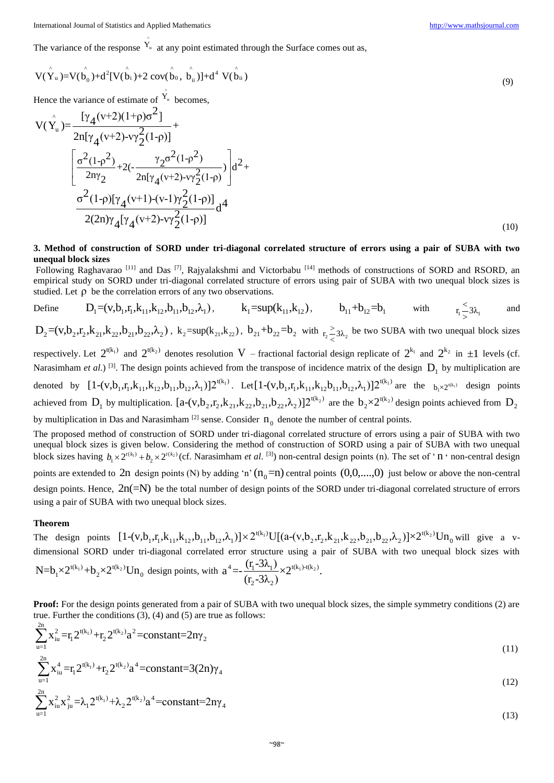International Journal of Statistics and Applied Mathematics [http://www.mathsjournal.com](http://www.mathsjournal.com/)

^

The variance of the response  $Y_u$  at any point estimated through the Surface comes out as,

$$
V(\hat{Y}_u) = V(\hat{b}_0) + d^2[V(\hat{b}_i) + 2\cot(\hat{b}_0, \hat{b}_{ii})] + d^4 V(\hat{b}_{ii})
$$
\n(9)

Hence the variance of estimate of 
$$
Y_u
$$
 becomes,  
\n
$$
V(\hat{Y}_u) = \frac{[\gamma_4(v+2)(1+\rho)\sigma^2]}{2n[\gamma_4(v+2)-v\gamma_2^2(1-\rho)]} + \frac{[\sigma^2(1-\rho^2)+(2(-\frac{\gamma_2\sigma^2(1-\rho^2)}{2n[\gamma_4(v+2)-v\gamma_2^2(1-\rho)})]}]d^2 + \frac{\sigma^2(1-\rho)[\gamma_4(v+1)-(v-1)\gamma_2^2(1-\rho)]}{2(2n)\gamma_4[\gamma_4(v+2)-v\gamma_2^2(1-\rho)]}d^4
$$
\n(10)

# **3. Method of construction of SORD under tri-diagonal correlated structure of errors using a pair of SUBA with two unequal block sizes**

Following Raghavarao [11] and Das [7], Rajyalakshmi and Victorbabu [14] methods of constructions of SORD and RSORD, an empirical study on SORD under tri-diagonal correlated structure of errors using pair of SUBA with two unequal block sizes is

studied. Let 
$$
\rho
$$
 be the correlation errors of any two observations.  
\nDefine  $D_1 = (v, b_1, r_1, k_{11}, k_{12}, b_{11}, b_{12}, \lambda_1)$ ,  $k_1 = \sup(k_{11}, k_{12})$ ,  $b_{11} + b_{12} = b_1$  with  $r_1 \le 3\lambda_1$  and

 $D_2 = (v, b_2, r_2, k_{21}, k_{22}, b_{21}, b_{22}, \lambda_2)$ ,  $k_2 = \sup(k_{21}, k_{22})$ ,  $b_{21} + b_{22} = b_2$  with  $r_2 \ge 3\lambda_2$ be two SUBA with two unequal block sizes respectively. Let  $2^{t(k_1)}$  and  $2^{t(k_2)}$  denotes resolution V – fractional factorial design replicate of  $2^{k_1}$  and  $2^{k_2}$  in  $\pm 1$  levels (cf.

Narasimham *et al.*) <sup>[3]</sup>. The design points achieved from the transpose of incidence matrix of the design  $D_1$  by multiplication are denoted by  $[1-(v,b_1,r_1,k_{11},k_{12},b_{11},b_{12},\lambda_1)]2^{t(k_1)}$ . Let [1-(v,b<sub>1</sub>,r<sub>1</sub>,k<sub>11</sub>,k<sub>12</sub>b<sub>11</sub>,b<sub>12</sub>,λ<sub>1</sub>)]2<sup>t(k<sub>1</sub>)</sup> are the <sub>b<sub>1</sub>×2<sup>t(k<sub>1</sub>)</sub> design points</sub></sup> achieved from D1 by multiplication. 2 t(k ) 2 2 21 22 21 22 2 [a-(v,b ,r ,k ,k ,b ,b ,λ )]2 are the 2 t(k )  $b_2 \times 2^{t(k_2)}$  design points achieved from  $D_2$ by multiplication in Das and Narasimham<sup>[2]</sup> sense. Consider  $n_0$  denote the number of central points.

The proposed method of construction of SORD under tri-diagonal correlated structure of errors using a pair of SUBA with two unequal block sizes is given below. Considering the method of construction of SORD using a pair of SUBA with two unequal block sizes having  $b_1 \times 2^{t(k_1)} + b_2 \times 2^{t(k_2)}$  (cf. Narasimham *et al.* <sup>[3]</sup>) non-central design points (n). The set of '**n** ' non-central design points are extended to  $2n$  design points (N) by adding 'n'  $(n_0=n)$  central points  $(0,0,...,0)$  just below or above the non-central design points. Hence,  $2n(=N)$  be the total number of design points of the SORD under tri-diagonal correlated structure of errors using a pair of SUBA with two unequal block sizes.

### **Theorem**

2n

 $\overline{u-1}$ 

**Theorem**<br>The design points  $[1-(v,b_1,r_1,k_{11},k_{12},b_{11},b_{12},\lambda_1)] \times 2^{t(k_1)} \text{U}[(a-(v,b_2,r_2,k_{21},k_{22},b_{21},b_{22},\lambda_2)] \times 2^{t(k_2)}$ with two unequal block sizes.<br>  $[1-(v,b_1,r_1,k_{11},k_{12},b_{11},b_{12},\lambda_1)] \times 2^{t(k_1)} \text{U}[(a-(v,b_2,r_2,k_{21},k_{22},b_{21},b_{22},\lambda_2)] \times 2^{t(k_2)} \text{Un}_0$  where the disconnal completed ones etracture using a point of SUPA with two unequal b will give a vdimensional SORD under tri-diagonal correlated error structure using a pair of SUBA with two unequal block sizes with  $N=b_1\times 2^{t(k_1)}+b_2\times 2^{t(k_2)}Un_0$  design points, with  $a^4=-\frac{(r_1-3\lambda_1)}{(r_1-3\lambda_1)}\times 2^{t(k_1)+(k_2)}$  $2 - 3\lambda_2$  $a^4 = -\frac{(r_1 - 3\lambda_1)}{(r_1 - 3\lambda_2)} \times 2^{t(k_1) - t(k_2)}.$  $\frac{1}{(r_2-3\lambda_2)}$   $\times$  2

**Proof:** For the design points generated from a pair of SUBA with two unequal block sizes, the simple symmetry conditions (2) are

true. Further the conditions (3), (4) and (5) are true as follows:  
\n
$$
\sum_{u=1}^{2n} x_{iu}^2 = r_1 2^{t(k_1)} + r_2 2^{t(k_2)} a^2 = \text{constant} = 2n\gamma_2
$$
\n(11)

$$
\sum_{i=1}^{2n} x_{i}^4 = r_1 2^{t(k_1)} + r_2 2^{t(k_2)} a^4 = \text{constant} = 3(2n)\gamma_4
$$
\n(11)

$$
\sum_{u=1}^{2n} x_{iu}^2 x_{ju}^2 = \lambda_1 2^{t(k_1)} + \lambda_2 2^{t(k_2)} a^4 = \text{constant} = 2n\gamma_4
$$
\n(12)

 $(12)$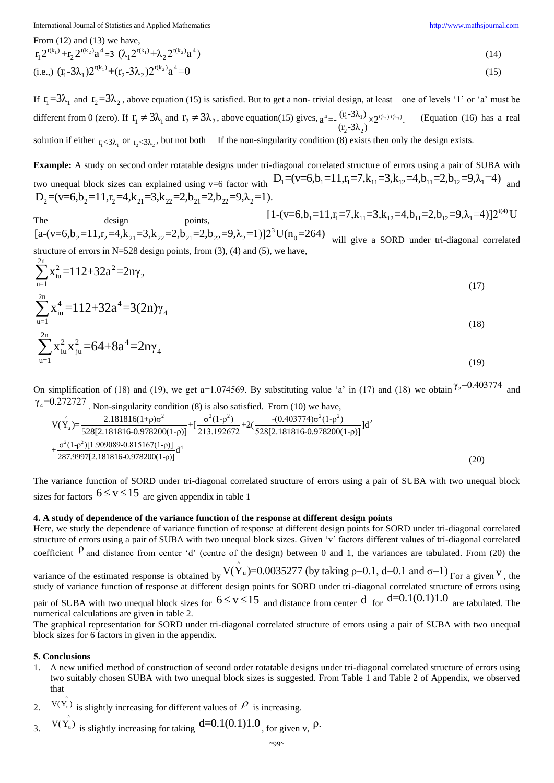International Journal of Statistics and Applied Mathematics [http://www.mathsjournal.com](http://www.mathsjournal.com/)

From (12) and (13) we have,

$$
r_1 2^{t(k_1)} + r_2 2^{t(k_2)} a^4 = 3 \left( \lambda_1 2^{t(k_1)} + \lambda_2 2^{t(k_2)} a^4 \right)
$$
\n(14)

(i.e.,) 
$$
(r_1 - 3\lambda_1)2^{t(k_1)} + (r_2 - 3\lambda_2)2^{t(k_2)}a^4 = 0
$$
 (15)

If  $r_1 = 3\lambda_1$  and  $r_2 = 3\lambda_2$ , above equation (15) is satisfied. But to get a non-trivial design, at least one of levels '1' or 'a' must be different from 0 (zero). If  $r_1 \neq 3\lambda_1$  and  $r_2 \neq 3\lambda_2$ , above equation(15) gives,  $a^4 = \frac{(r_1 - 3\lambda_1)}{(1 - 3\lambda_2)} \times 2^{t(k_1) + (k_2)}$  $2 - 3\lambda_2$  $a^4 = -\frac{(r_1 - 3\lambda_1)}{(r_2 - 3\lambda_2)} \times 2^{t(k_1) - t(k_2)}.$ (Equation (16) has a real solution if either  $r_1 < 3\lambda_1$  or  $r_2 < 3\lambda_2$ , but not both If the non-singularity condition (8) exists then only the design exists.

**Example:** A study on second order rotatable designs under tri-diagonal correlated structure of errors using a pair of SUBA with **Example:** A study on second order rotatable designs under tri-diagonal correlated structure of errors using a pair of SUBA with two unequal block sizes can explained using v=6 factor with  $D_1 = (v=6, b_1 = 11, r_1 = 7, k_{11} =$ two unequal block sizes can explained using v=6 factor with  $D_1 = (v_2 = (v_2 = 6, b_2 = 11, r_2 = 4, k_{21} = 3, k_{22} = 2, b_{21} = 2, b_{22} = 9, \lambda_2 = 1).$ 1 1 11 12 11 12 1 [1-(v=6,b =11,r =7,k =3,k =4,b =2,b =9,λ =4)]2 U

The design points, t(4) 3  $2^{-(\mathbf{v}-\mathbf{0}, \mathbf{0}_2-11, \mathbf{1}_2-\mathbf{+}, \mathbf{k}_{21}-\mathbf{0}, \mathbf{k}_{22}-\mathbf{2}, \mathbf{0}_{21}-\mathbf{2}, \mathbf{0}_{22}-\mathbf{0}, \mathbf{0}_2-1)}$ .<br>
The design points,  $[1-(\mathbf{v}=6, \mathbf{b}_1=11, \mathbf{r}_1=7, \mathbf{k}_{11}=3, \mathbf{k}_{12}=4, \mathbf{b}_{11}=2, \mathbf{b}_{12}=9, \lambda_1=4)]2^{t(4)} \text$ structure of errors in N=528 design points, from  $(3)$ ,  $(4)$  and  $(5)$ , we have,

$$
\sum_{u=1}^{2n} x_{iu}^2 = 112 + 32a^2 = 2n\gamma_2
$$
\n
$$
\sum_{u=1}^{2n} x_{iu}^4 = 112 + 32a^4 = 3(2n)\gamma_4
$$
\n
$$
\sum_{u=1}^{2n} x_{iu}^2 x_{ju}^2 = 64 + 8a^4 = 2n\gamma_4
$$
\n(18)

 $\gamma_4$ =0.272727. Non-singularity condition (8) is also satisfied. From (10) we have,

On simplification of (18) and (19), we get a=1.074569. By substituting value 'a' in (17) and (18) we obtain 
$$
Y_2=0.403774
$$
 and  $\gamma_4=0.272727$ . Non-singularity condition (8) is also satisfied. From (10) we have,  
\n
$$
V(\hat{Y}_u) = \frac{2.181816(1+\rho)\sigma^2}{528[2.181816-0.978200(1-\rho)]} + [\frac{\sigma^2(1-\rho^2)}{213.192672} + 2(\frac{-(0.403774)\sigma^2(1-\rho^2)}{528[2.181816-0.978200(1-\rho)]}]d^2 + \frac{\sigma^2(1-\rho^2)[1.909089-0.815167(1-\rho)]}{287.9997[2.181816-0.978200(1-\rho)]}d^4
$$
\n(20)

The variance function of SORD under tri-diagonal correlated structure of errors using a pair of SUBA with two unequal block sizes for factors  $6 \le v \le 15$  are given appendix in table 1

# **4. A study of dependence of the variance function of the response at different design points**

Here, we study the dependence of variance function of response at different design points for SORD under tri-diagonal correlated structure of errors using a pair of SUBA with two unequal block sizes. Given 'v' factors different values of tri-diagonal correlated coefficient  $P$  and distance from center 'd' (centre of the design) between 0 and 1, the variances are tabulated. From (20) the ^ e of the design) between 0 and 1, the variances are tabulated. From (20) the  $V(Y_u)=0.0035277$  (by taking  $p=0.1$ , d=0.1 and  $\sigma=1$ ) For a given V, the

variance of the estimated response is obtained by study of variance function of response at different design points for SORD under tri-diagonal correlated structure of errors using pair of SUBA with two unequal block sizes for  $6 \le v \le 15$  and distance from center d for  $d=0.1(0.1)1.0$  are tabulated. The numerical calculations are given in table 2.

The graphical representation for SORD under tri-diagonal correlated structure of errors using a pair of SUBA with two unequal block sizes for 6 factors in given in the appendix.

# **5. Conclusions**

- 1. A new unified method of construction of second order rotatable designs under tri-diagonal correlated structure of errors using two suitably chosen SUBA with two unequal block sizes is suggested. From Table 1 and Table 2 of Appendix, we observed that
- 2.  $V(\hat{Y}_u)$  is slightly increasing for different values of  $\beta$  is increasing.

3. 
$$
V(\hat{Y_u})
$$
 is slightly increasing for taking d=0.1(0.1)1.0, for given v,  $\rho$ .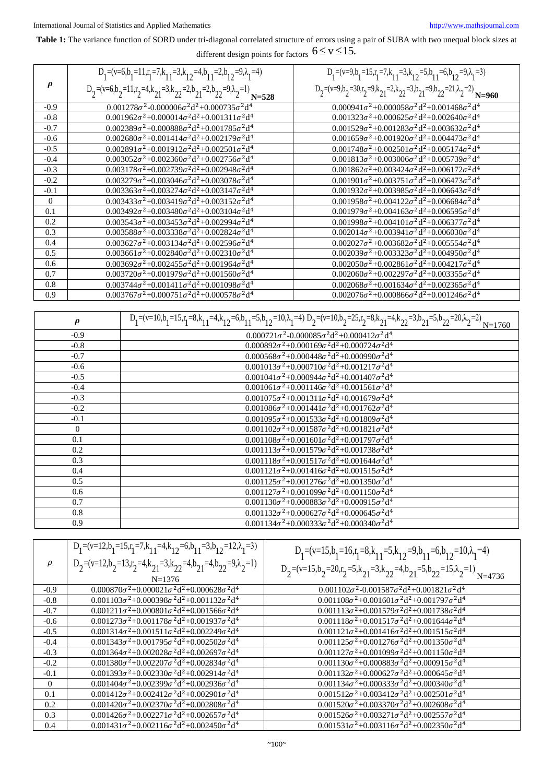# **Table 1:** The variance function of SORD under tri-diagonal correlated structure of errors using a pair of SUBA with two unequal block sizes at different design points for factors  $6 \leq v \leq 15$ .

|          | different design points for factors $0 \leq x \leq 1$ .                                         |                                                                                                 |  |  |  |  |  |  |  |  |
|----------|-------------------------------------------------------------------------------------------------|-------------------------------------------------------------------------------------------------|--|--|--|--|--|--|--|--|
|          | $D_1 = (v=6, b_1 = 11, r_1 = 7, k_{11} = 3, k_{12} = 4, b_{11} = 2, b_{12} = 9, \lambda_1 = 4)$ | $D_1 = (v=9, b_1 = 15, r_1 = 7, k_{11} = 3, k_{12} = 5, b_{11} = 6, b_{12} = 9, \lambda_1 = 3)$ |  |  |  |  |  |  |  |  |
| $\rho$   | $D_2=(v=6, b_2=11, r_2=4, k_{21}=3, k_{22}=2, b_{21}=2, b_{22}=9, \lambda_2=1)$ $N=528$         | $D_2=(v=9, b_2=30, r_2=9, k_{21}=2, k_{22}=3, b_{21}=9, b_{22}=21, \lambda_2=2)$ $N=960$        |  |  |  |  |  |  |  |  |
| $-0.9$   | $0.001278\sigma^2 - 0.000006\sigma^2 d^2 + 0.000735\sigma^2 d^4$                                | $0.000941\sigma^2 + 0.000058\sigma^2 d^2 + 0.001468\sigma^2 d^4$                                |  |  |  |  |  |  |  |  |
| $-0.8$   | $0.001962\sigma^2 + 0.000014\sigma^2 d^2 + 0.001311\sigma^2 d^4$                                | $0.001323\sigma^2 + 0.000625\sigma^2 d^2 + 0.002640\sigma^2 d^4$                                |  |  |  |  |  |  |  |  |
| $-0.7$   | $0.002389\sigma^2 + 0.000888\sigma^2 d^2 + 0.001785\sigma^2 d^4$                                | $0.001529\sigma^2 + 0.001283\sigma^2 d^2 + 0.003632\sigma^2 d^4$                                |  |  |  |  |  |  |  |  |
| $-0.6$   | $0.002680\sigma^2 + 0.001414\sigma^2 d^2 + 0.002179\sigma^2 d^4$                                | $0.001659\sigma^2 + 0.001920\sigma^2 d^2 + 0.004473\sigma^2 d^4$                                |  |  |  |  |  |  |  |  |
| $-0.5$   | $0.002891\sigma^2 + 0.001912\sigma^2 d^2 + 0.002501\sigma^2 d^4$                                | $0.001748\sigma^2 + 0.002501\sigma^2 d^2 + 0.005174\sigma^2 d^4$                                |  |  |  |  |  |  |  |  |
| $-0.4$   | $0.003052\sigma^2 + 0.002360\sigma^2 d^2 + 0.002756\sigma^2 d^4$                                | $0.001813\sigma^2 + 0.003006\sigma^2 d^2 + 0.005739\sigma^2 d^4$                                |  |  |  |  |  |  |  |  |
| $-0.3$   | $0.003178\sigma^2 + 0.002739\sigma^2 d^2 + 0.002948\sigma^2 d^4$                                | $0.001862\sigma^2 + 0.003424\sigma^2 d^2 + 0.006172\sigma^2 d^4$                                |  |  |  |  |  |  |  |  |
| $-0.2$   | $0.003279\sigma^2 + 0.003046\sigma^2 d^2 + 0.003078\sigma^2 d^4$                                | $0.001901\sigma^2 + 0.003751\sigma^2 d^2 + 0.006473\sigma^2 d^4$                                |  |  |  |  |  |  |  |  |
| $-0.1$   | $0.003363\sigma^2 + 0.003274\sigma^2 d^2 + 0.003147\sigma^2 d^4$                                | $0.001932\sigma^2 + 0.003985\sigma^2 d^2 + 0.006643\sigma^2 d^4$                                |  |  |  |  |  |  |  |  |
| $\theta$ | $0.003433\sigma^2 + 0.003419\sigma^2 d^2 + 0.003152\sigma^2 d^4$                                | $0.001958\sigma^2 + 0.004122\sigma^2 d^2 + 0.006684\sigma^2 d^4$                                |  |  |  |  |  |  |  |  |
| 0.1      | $0.003492\sigma^2 + 0.003480\sigma^2 d^2 + 0.003104\sigma^2 d^4$                                | $0.001979\sigma^2 + 0.004163\sigma^2 d^2 + 0.006595\sigma^2 d^4$                                |  |  |  |  |  |  |  |  |
| 0.2      | $0.003543\sigma^2 + 0.003453\sigma^2 d^2 + 0.002994\sigma^2 d^4$                                | $0.001998\sigma^2 + 0.004101\sigma^2 d^2 + 0.006377\sigma^2 d^4$                                |  |  |  |  |  |  |  |  |
| 0.3      | $0.003588\sigma^2 + 0.003338\sigma^2 d^2 + 0.002824\sigma^2 d^4$                                | $0.002014\sigma^2 + 0.003941\sigma^2 d^2 + 0.006030\sigma^2 d^4$                                |  |  |  |  |  |  |  |  |
| 0.4      | $0.003627\sigma^2 + 0.003134\sigma^2 d^2 + 0.002596\sigma^2 d^4$                                | $0.002027\sigma^2 + 0.003682\sigma^2 d^2 + 0.005554\sigma^2 d^4$                                |  |  |  |  |  |  |  |  |
| 0.5      | $0.003661\sigma^2 + 0.002840\sigma^2 d^2 + 0.002310\sigma^2 d^4$                                | $0.002039\sigma^2 + 0.003323\sigma^2 d^2 + 0.004950\sigma^2 d^4$                                |  |  |  |  |  |  |  |  |
| 0.6      | $0.003692\sigma^2 + 0.002455\sigma^2 d^2 + 0.001964\sigma^2 d^4$                                | $0.002050\sigma^2 + 0.002861\sigma^2 d^2 + 0.004217\sigma^2 d^4$                                |  |  |  |  |  |  |  |  |
| 0.7      | $0.003720\sigma^2 + 0.001979\sigma^2 d^2 + 0.001560\sigma^2 d^4$                                | $0.002060\sigma^2 + 0.002297\sigma^2 d^2 + 0.003355\sigma^2 d^4$                                |  |  |  |  |  |  |  |  |
| 0.8      | $0.003744\sigma^2 + 0.001411\sigma^2 d^2 + 0.001098\sigma^2 d^4$                                | $0.002068\sigma^2 + 0.001634\sigma^2 d^2 + 0.002365\sigma^2 d^4$                                |  |  |  |  |  |  |  |  |
| 0.9      | $0.003767\sigma^2 + 0.000751\sigma^2 d^2 + 0.000578\sigma^2 d^4$                                | $0.002076\sigma^2 + 0.000866\sigma^2 d^2 + 0.001246\sigma^2 d^4$                                |  |  |  |  |  |  |  |  |

| $\pmb{\rho}$   | $\overline{D_1=(v=10,b_1=15, r_1=8, k_{11}=4, k_{12}=6, b_{11}=5, b_{12}=10, \lambda_1=4)} \cdot D_2=(v=10,b_2=25, r_2=8, k_{21}=4, k_{22}=3, b_{21}=5, b_{22}=20, \lambda_2=2)_{N=1760}$ |
|----------------|-------------------------------------------------------------------------------------------------------------------------------------------------------------------------------------------|
| $-0.9$         | $0.000721\sigma^2 - 0.000085\sigma^2 d^2 + 0.000412\sigma^2 d^4$                                                                                                                          |
| $-0.8$         | $0.000892\sigma^2 + 0.000169\sigma^2 d^2 + 0.000724\sigma^2 d^4$                                                                                                                          |
| $-0.7$         | $0.000568\sigma^2 + 0.000448\sigma^2 d^2 + 0.000990\sigma^2 d^4$                                                                                                                          |
| $-0.6$         | $0.001013\sigma^2 + 0.000710\sigma^2 d^2 + 0.001217\sigma^2 d^4$                                                                                                                          |
| $-0.5$         | $0.001041\sigma^2 + 0.000944\sigma^2 d^2 + 0.001407\sigma^2 d^4$                                                                                                                          |
| $-0.4$         | $0.001061\sigma^2 + 0.001146\sigma^2 d^2 + 0.001561\sigma^2 d^4$                                                                                                                          |
| $-0.3$         | $0.001075\sigma^2 + 0.001311\sigma^2 d^2 + 0.001679\sigma^2 d^4$                                                                                                                          |
| $-0.2$         | $0.001086\sigma^2 + 0.001441\sigma^2 d^2 + 0.001762\sigma^2 d^4$                                                                                                                          |
| $-0.1$         | $0.001095\sigma^2 + 0.001533\sigma^2 d^2 + 0.001809\sigma^2 d^4$                                                                                                                          |
| $\overline{0}$ | $0.001102\sigma^2 + 0.001587\sigma^2 d^2 + 0.001821\sigma^2 d^4$                                                                                                                          |
| 0.1            | $0.001108\sigma^2 + 0.001601\sigma^2 d^2 + 0.001797\sigma^2 d^4$                                                                                                                          |
| 0.2            | $0.001113\sigma^2 + 0.001579\sigma^2 d^2 + 0.001738\sigma^2 d^4$                                                                                                                          |
| 0.3            | $0.001118\sigma^2 + 0.001517\sigma^2 d^2 + 0.001644\sigma^2 d^4$                                                                                                                          |
| 0.4            | $0.001121\sigma^2 + 0.001416\sigma^2 d^2 + 0.001515\sigma^2 d^4$                                                                                                                          |
| 0.5            | $0.001125\sigma^2 + 0.001276\sigma^2 d^2 + 0.001350\sigma^2 d^4$                                                                                                                          |
| 0.6            | $0.001127\sigma^2 + 0.001099\sigma^2 d^2 + 0.001150\sigma^2 d^4$                                                                                                                          |
| 0.7            | $0.001130\sigma^2 + 0.000883\sigma^2 d^2 + 0.000915\sigma^2 d^4$                                                                                                                          |
| 0.8            | $0.001132\sigma^2 + 0.000627\sigma^2 d^2 + 0.000645\sigma^2 d^4$                                                                                                                          |
| 0.9            | $0.001134\sigma^2 + 0.000333\sigma^2 d^2 + 0.000340\sigma^2 d^4$                                                                                                                          |

|          | $\mathsf{u} \cdot \mathsf{v}$ |                                                                                                   | 0.0011J+0 ⊤0.000JJJJ0 u ⊤0.000J+00 u                                                            |
|----------|-------------------------------|---------------------------------------------------------------------------------------------------|-------------------------------------------------------------------------------------------------|
|          |                               |                                                                                                   |                                                                                                 |
|          |                               | $D_1 = (v=12, b_1 = 15, r_1 = 7, k_{11} = 4, k_{12} = 6, b_{11} = 3, b_{12} = 12, \lambda_1 = 3)$ | $D_1 = (v=15, b_1=16, r_1=8, k_{11}=5, k_{12}=9, b_{11}=6, b_{12}=10, \lambda_1=4)$             |
| $\rho$   |                               | $D_2 = (v=12, b_2=13, r_2=4, k_{21}=3, k_{22}=4, b_{21}=4, b_{22}=9, \lambda_2=1)$<br>$N = 1376$  | $D_2 = (v=15, b_2=20, r_2=5, k_{21}=3, k_{22}=4, b_{21}=5, b_{22}=15, \lambda_2=1)$<br>$N=4736$ |
| $-0.9$   |                               | $0.000870\sigma^2 + 0.000021\sigma^2 d^2 + 0.000628\sigma^2 d^4$                                  | $0.001102\sigma^2 - 0.001587\sigma^2 d^2 + 0.001821\sigma^2 d^4$                                |
| $-0.8$   |                               | $0.001103\sigma^2 + 0.000398\sigma^2 d^2 + 0.001132\sigma^2 d^4$                                  | $0.001108\sigma^2 + 0.001601\sigma^2 d^2 + 0.001797\sigma^2 d^4$                                |
| $-0.7$   |                               | $0.001211\sigma^2 + 0.000801\sigma^2 d^2 + 0.001566\sigma^2 d^4$                                  | $0.001113\sigma^2 + 0.001579\sigma^2 d^2 + 0.001738\sigma^2 d^4$                                |
| $-0.6$   |                               | $0.001273\sigma^2 + 0.001178\sigma^2 d^2 + 0.001937\sigma^2 d^4$                                  | $0.001118\sigma^2 + 0.001517\sigma^2 d^2 + 0.001644\sigma^2 d^4$                                |
| $-0.5$   |                               | $0.001314\sigma^2 + 0.001511\sigma^2 d^2 + 0.002249\sigma^2 d^4$                                  | $0.001121\sigma^2 + 0.001416\sigma^2 d^2 + 0.001515\sigma^2 d^4$                                |
| $-0.4$   |                               | $0.001343\sigma^2 + 0.001795\sigma^2 d^2 + 0.002502\sigma^2 d^4$                                  | $0.001125\sigma^2 + 0.001276\sigma^2 d^2 + 0.001350\sigma^2 d^4$                                |
| $-0.3$   |                               | $0.001364\sigma^2 + 0.002028\sigma^2 d^2 + 0.002697\sigma^2 d^4$                                  | $0.001127\sigma^2 + 0.001099\sigma^2 d^2 + 0.001150\sigma^2 d^4$                                |
| $-0.2$   |                               | $0.001380\sigma^2 + 0.002207\sigma^2 d^2 + 0.002834\sigma^2 d^4$                                  | $0.001130\sigma^2 + 0.000883\sigma^2 d^2 + 0.000915\sigma^2 d^4$                                |
| $-0.1$   |                               | $0.001393\sigma^2 + 0.002330\sigma^2 d^2 + 0.002914\sigma^2 d^4$                                  | $0.001132\sigma^2 + 0.000627\sigma^2 d^2 + 0.000645\sigma^2 d^4$                                |
| $\theta$ |                               | $0.001404\sigma^2 + 0.002399\sigma^2 d^2 + 0.002936\sigma^2 d^4$                                  | $0.001134\sigma^2 + 0.000333\sigma^2 d^2 + 0.000340\sigma^2 d^4$                                |
| 0.1      |                               | $0.001412\sigma^2 + 0.002412\sigma^2 d^2 + 0.002901\sigma^2 d^4$                                  | $0.001512\sigma^2 + 0.003412\sigma^2 d^2 + 0.002501\sigma^2 d^4$                                |
| 0.2      |                               | $0.001420\sigma^2 + 0.002370\sigma^2 d^2 + 0.002808\sigma^2 d^4$                                  | $0.001520\sigma^2 + 0.003370\sigma^2 d^2 + 0.002608\sigma^2 d^4$                                |
| 0.3      |                               | $0.001426\sigma^2 + 0.002271\sigma^2 d^2 + 0.002657\sigma^2 d^4$                                  | $0.001526\sigma^2 + 0.003271\sigma^2 d^2 + 0.002557\sigma^2 d^4$                                |
| 0.4      |                               | $0.001431\sigma^2 + 0.002116\sigma^2 d^2 + 0.002450\sigma^2 d^4$                                  | $0.001531\sigma^2 + 0.003116\sigma^2 d^2 + 0.002350\sigma^2 d^4$                                |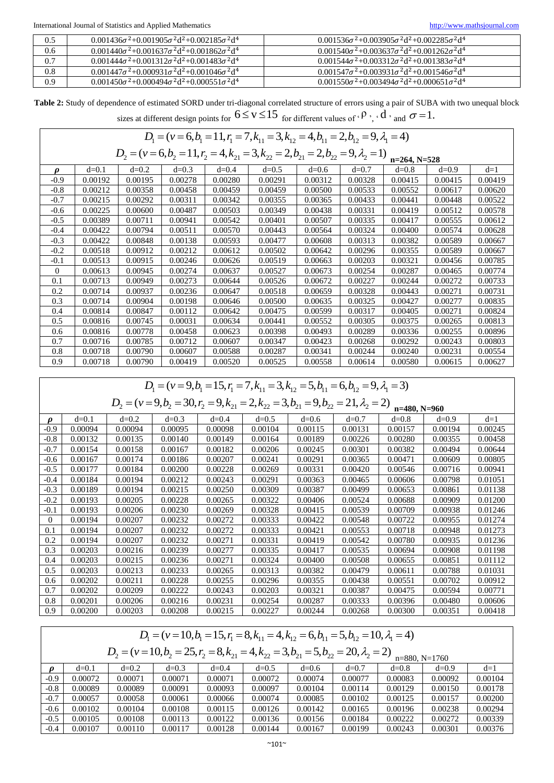| 0.5     | $0.001436\sigma^2 + 0.001905\sigma^2 d^2 + 0.002185\sigma^2 d^4$ | $0.001536\sigma^2 + 0.003905\sigma^2 d^2 + 0.002285\sigma^2 d^4$    |
|---------|------------------------------------------------------------------|---------------------------------------------------------------------|
| 0.6     | $0.001440\sigma^2 + 0.001637\sigma^2 d^2 + 0.001862\sigma^2 d^4$ | $0.001540 \sigma^2 + 0.003637 \sigma^2 d^2 + 0.001262 \sigma^2 d^4$ |
| 0.7     | $0.001444\sigma^2 + 0.001312\sigma^2 d^2 + 0.001483\sigma^2 d^4$ | $0.001544\sigma^2 + 0.003312\sigma^2 d^2 + 0.001383\sigma^2 d^4$    |
| $0.8\,$ | $0.001447\sigma^2 + 0.000931\sigma^2 d^2 + 0.001046\sigma^2 d^4$ | $0.001547\sigma^2 + 0.003931\sigma^2 d^2 + 0.001546\sigma^2 d^4$    |
| 0.9     | $0.001450\sigma^2 + 0.000494\sigma^2 d^2 + 0.000551\sigma^2 d^4$ | $0.001550\sigma^2 + 0.003494\sigma^2 d^2 + 0.000651\sigma^2 d^4$    |

Table 2: Study of dependence of estimated SORD under tri-diagonal correlated structure of errors using a pair of SUBA with two unequal block sizes at different design points for  $6 \le v \le 15$  for different values of  $\cdot$   $\beta$   $\cdot$  ,  $\cdot$  d  $\cdot$  and  $\sigma$  = 1. estimated SORD under tri-diagonal correlated structure of errors using a pair of SUBA<br>different design points for  $6 \le v \le 15$  for different values of  $\cdot$   $\beta$ ,  $\cdot$   $d$ ,  $\cdot$  and  $\sigma$  = 1.<br> $D_1 = (v = 6, b_1 = 11, r_1 = 7, k_{11}$ 

|                                                                                                                     | sizes at different design points for $\vee - \vee - \vee$ for different values of $\vee$ , $\vee$ and $\vee$ |         |         |         |         |         |         |         |         |         |
|---------------------------------------------------------------------------------------------------------------------|--------------------------------------------------------------------------------------------------------------|---------|---------|---------|---------|---------|---------|---------|---------|---------|
|                                                                                                                     | $D_1 = (v = 6, b_1 = 11, r_1 = 7, k_{11} = 3, k_{12} = 4, b_{11} = 2, b_{12} = 9, \lambda_1 = 4)$            |         |         |         |         |         |         |         |         |         |
| $D_2 = (v = 6, b_2 = 11, r_2 = 4, k_{21} = 3, k_{22} = 2, b_{21} = 2, b_{22} = 9, \lambda_2 = 1)$<br>$n=264, N=528$ |                                                                                                              |         |         |         |         |         |         |         |         |         |
| $\boldsymbol{\rho}$                                                                                                 | $d=0.1$                                                                                                      | $d=0.2$ | $d=0.3$ | $d=0.4$ | $d=0.5$ | $d=0.6$ | $d=0.7$ | $d=0.8$ | $d=0.9$ | $d=1$   |
| $-0.9$                                                                                                              | 0.00192                                                                                                      | 0.00195 | 0.00278 | 0.00280 | 0.00291 | 0.00312 | 0.00328 | 0.00415 | 0.00415 | 0.00419 |
| $-0.8$                                                                                                              | 0.00212                                                                                                      | 0.00358 | 0.00458 | 0.00459 | 0.00459 | 0.00500 | 0.00533 | 0.00552 | 0.00617 | 0.00620 |
| $-0.7$                                                                                                              | 0.00215                                                                                                      | 0.00292 | 0.00311 | 0.00342 | 0.00355 | 0.00365 | 0.00433 | 0.00441 | 0.00448 | 0.00522 |
| $-0.6$                                                                                                              | 0.00225                                                                                                      | 0.00600 | 0.00487 | 0.00503 | 0.00349 | 0.00438 | 0.00331 | 0.00419 | 0.00512 | 0.00578 |
| $-0.5$                                                                                                              | 0.00389                                                                                                      | 0.00711 | 0.00941 | 0.00542 | 0.00401 | 0.00507 | 0.00335 | 0.00417 | 0.00555 | 0.00612 |
| $-0.4$                                                                                                              | 0.00422                                                                                                      | 0.00794 | 0.00511 | 0.00570 | 0.00443 | 0.00564 | 0.00324 | 0.00400 | 0.00574 | 0.00628 |
| $-0.3$                                                                                                              | 0.00422                                                                                                      | 0.00848 | 0.00138 | 0.00593 | 0.00477 | 0.00608 | 0.00313 | 0.00382 | 0.00589 | 0.00667 |
| $-0.2$                                                                                                              | 0.00518                                                                                                      | 0.00912 | 0.00212 | 0.00612 | 0.00502 | 0.00642 | 0.00296 | 0.00355 | 0.00589 | 0.00667 |
| $-0.1$                                                                                                              | 0.00513                                                                                                      | 0.00915 | 0.00246 | 0.00626 | 0.00519 | 0.00663 | 0.00203 | 0.00321 | 0.00456 | 0.00785 |
| $\Omega$                                                                                                            | 0.00613                                                                                                      | 0.00945 | 0.00274 | 0.00637 | 0.00527 | 0.00673 | 0.00254 | 0.00287 | 0.00465 | 0.00774 |
| 0.1                                                                                                                 | 0.00713                                                                                                      | 0.00949 | 0.00273 | 0.00644 | 0.00526 | 0.00672 | 0.00227 | 0.00244 | 0.00272 | 0.00733 |
| 0.2                                                                                                                 | 0.00714                                                                                                      | 0.00937 | 0.00236 | 0.00647 | 0.00518 | 0.00659 | 0.00328 | 0.00443 | 0.00271 | 0.00731 |
| 0.3                                                                                                                 | 0.00714                                                                                                      | 0.00904 | 0.00198 | 0.00646 | 0.00500 | 0.00635 | 0.00325 | 0.00427 | 0.00277 | 0.00835 |
| 0.4                                                                                                                 | 0.00814                                                                                                      | 0.00847 | 0.00112 | 0.00642 | 0.00475 | 0.00599 | 0.00317 | 0.00405 | 0.00271 | 0.00824 |
| 0.5                                                                                                                 | 0.00816                                                                                                      | 0.00745 | 0.00031 | 0.00634 | 0.00441 | 0.00552 | 0.00305 | 0.00375 | 0.00265 | 0.00813 |
| 0.6                                                                                                                 | 0.00816                                                                                                      | 0.00778 | 0.00458 | 0.00623 | 0.00398 | 0.00493 | 0.00289 | 0.00336 | 0.00255 | 0.00896 |
| 0.7                                                                                                                 | 0.00716                                                                                                      | 0.00785 | 0.00712 | 0.00607 | 0.00347 | 0.00423 | 0.00268 | 0.00292 | 0.00243 | 0.00803 |
| 0.8                                                                                                                 | 0.00718                                                                                                      | 0.00790 | 0.00607 | 0.00588 | 0.00287 | 0.00341 | 0.00244 | 0.00240 | 0.00231 | 0.00554 |
| 0.9                                                                                                                 | 0.00718                                                                                                      | 0.00790 | 0.00419 | 0.00520 | 0.00525 | 0.00558 | 0.00614 | 0.00580 | 0.00615 | 0.00627 |

<sup>1</sup> 1 1 11 12 11 12 1 *D v b r k k b b* = = = = = = = = = ( 9, 15, 7, 3, 5, 6, 9, 3) <sup>2</sup> 2 2 21 22 21 22 2 *D v b r k k b b* = = = = = = = = = ( 9, 30, 9, 2, 3, 9, 21, 2) **n=480, N=960**

|          |         |         |         |         |         |         |         | 11-400. IN-200 |         |         |
|----------|---------|---------|---------|---------|---------|---------|---------|----------------|---------|---------|
| o        | $d=0.1$ | $d=0.2$ | $d=0.3$ | $d=0.4$ | $d=0.5$ | $d=0.6$ | $d=0.7$ | $d=0.8$        | $d=0.9$ | $d=1$   |
| $-0.9$   | 0.00094 | 0.00094 | 0.00095 | 0.00098 | 0.00104 | 0.00115 | 0.00131 | 0.00157        | 0.00194 | 0.00245 |
| $-0.8$   | 0.00132 | 0.00135 | 0.00140 | 0.00149 | 0.00164 | 0.00189 | 0.00226 | 0.00280        | 0.00355 | 0.00458 |
| $-0.7$   | 0.00154 | 0.00158 | 0.00167 | 0.00182 | 0.00206 | 0.00245 | 0.00301 | 0.00382        | 0.00494 | 0.00644 |
| $-0.6$   | 0.00167 | 0.00174 | 0.00186 | 0.00207 | 0.00241 | 0.00291 | 0.00365 | 0.00471        | 0.00609 | 0.00805 |
| $-0.5$   | 0.00177 | 0.00184 | 0.00200 | 0.00228 | 0.00269 | 0.00331 | 0.00420 | 0.00546        | 0.00716 | 0.00941 |
| $-0.4$   | 0.00184 | 0.00194 | 0.00212 | 0.00243 | 0.00291 | 0.00363 | 0.00465 | 0.00606        | 0.00798 | 0.01051 |
| $-0.3$   | 0.00189 | 0.00194 | 0.00215 | 0.00250 | 0.00309 | 0.00387 | 0.00499 | 0.00653        | 0.00861 | 0.01138 |
| $-0.2$   | 0.00193 | 0.00205 | 0.00228 | 0.00265 | 0.00322 | 0.00406 | 0.00524 | 0.00688        | 0.00909 | 0.01200 |
| $-0.1$   | 0.00193 | 0.00206 | 0.00230 | 0.00269 | 0.00328 | 0.00415 | 0.00539 | 0.00709        | 0.00938 | 0.01246 |
| $\Omega$ | 0.00194 | 0.00207 | 0.00232 | 0.00272 | 0.00333 | 0.00422 | 0.00548 | 0.00722        | 0.00955 | 0.01274 |
| 0.1      | 0.00194 | 0.00207 | 0.00232 | 0.00272 | 0.00333 | 0.00421 | 0.00553 | 0.00718        | 0.00948 | 0.01273 |
| 0.2      | 0.00194 | 0.00207 | 0.00232 | 0.00271 | 0.00331 | 0.00419 | 0.00542 | 0.00780        | 0.00935 | 0.01236 |
| 0.3      | 0.00203 | 0.00216 | 0.00239 | 0.00277 | 0.00335 | 0.00417 | 0.00535 | 0.00694        | 0.00908 | 0.01198 |
| 0.4      | 0.00203 | 0.00215 | 0.00236 | 0.00271 | 0.00324 | 0.00400 | 0.00508 | 0.00655        | 0.00851 | 0.01112 |
| 0.5      | 0.00203 | 0.00213 | 0.00233 | 0.00265 | 0.00313 | 0.00382 | 0.00479 | 0.00611        | 0.00788 | 0.01031 |
| 0.6      | 0.00202 | 0.00211 | 0.00228 | 0.00255 | 0.00296 | 0.00355 | 0.00438 | 0.00551        | 0.00702 | 0.00912 |
| 0.7      | 0.00202 | 0.00209 | 0.00222 | 0.00243 | 0.00203 | 0.00321 | 0.00387 | 0.00475        | 0.00594 | 0.00771 |
| 0.8      | 0.00201 | 0.00206 | 0.00216 | 0.00231 | 0.00254 | 0.00287 | 0.00333 | 0.00396        | 0.00480 | 0.00606 |
| 0.9      | 0.00200 | 0.00203 | 0.00208 | 0.00215 | 0.00227 | 0.00244 | 0.00268 | 0.00300        | 0.00351 | 0.00418 |

| 0.8    | 0.00201                                                                                             | 0.00206 | 0.00216                                                                                           | 0.00231 | 0.00254 | 0.00287 | 0.00333 | 0.00396         | 0.00480 | 0.00606 |  |
|--------|-----------------------------------------------------------------------------------------------------|---------|---------------------------------------------------------------------------------------------------|---------|---------|---------|---------|-----------------|---------|---------|--|
| 0.9    | 0.00200                                                                                             | 0.00203 | 0.00208                                                                                           | 0.00215 | 0.00227 | 0.00244 | 0.00268 | 0.00300         | 0.00351 | 0.00418 |  |
|        |                                                                                                     |         |                                                                                                   |         |         |         |         |                 |         |         |  |
|        | $D_1 = (v = 10, b_1 = 15, r_1 = 8, k_{11} = 4, k_{12} = 6, b_{11} = 5, b_{12} = 10, \lambda_1 = 4)$ |         |                                                                                                   |         |         |         |         |                 |         |         |  |
|        |                                                                                                     |         |                                                                                                   |         |         |         |         |                 |         |         |  |
|        |                                                                                                     |         | $D_2 = (v=10, b_2 = 25, r_2 = 8, k_{21} = 4, k_{22} = 3, b_{21} = 5, b_{22} = 20, \lambda_2 = 2)$ |         |         |         |         | $n=880, N=1760$ |         |         |  |
|        |                                                                                                     |         |                                                                                                   |         |         |         |         |                 |         |         |  |
| n      | $d=0.1$                                                                                             | $d=0.2$ | $d=0.3$                                                                                           | $d=0.4$ | $d=0.5$ | $d=0.6$ | $d=0.7$ | $d=0.8$         | $d=0.9$ | $d=1$   |  |
| $-0.9$ | 0.00072                                                                                             | 0.00071 | 0.00071                                                                                           | 0.00071 | 0.00072 | 0.00074 | 0.00077 | 0.00083         | 0.00092 | 0.00104 |  |
| $-0.8$ | 0.00089                                                                                             | 0.00089 | 0.00091                                                                                           | 0.00093 | 0.00097 | 0.00104 | 0.00114 | 0.00129         | 0.00150 | 0.00178 |  |
| $-0.7$ | 0.00057                                                                                             | 0.00058 | 0.00061                                                                                           | 0.00066 | 0.00074 | 0.00085 | 0.00102 | 0.00125         | 0.00157 | 0.00200 |  |
| $-0.6$ | 0.00102                                                                                             | 0.00104 | 0.00108                                                                                           | 0.00115 | 0.00126 | 0.00142 | 0.00165 | 0.00196         | 0.00238 | 0.00294 |  |
| $-0.5$ | 0.00105                                                                                             | 0.00108 | 0.00113                                                                                           | 0.00122 | 0.00136 | 0.00156 | 0.00184 | 0.00222         | 0.00272 | 0.00339 |  |
| $-0.4$ | 0.00107                                                                                             | 0.00110 | 0.00117                                                                                           | 0.00128 | 0.00144 | 0.00167 | 0.00199 | 0.00243         | 0.00301 | 0.00376 |  |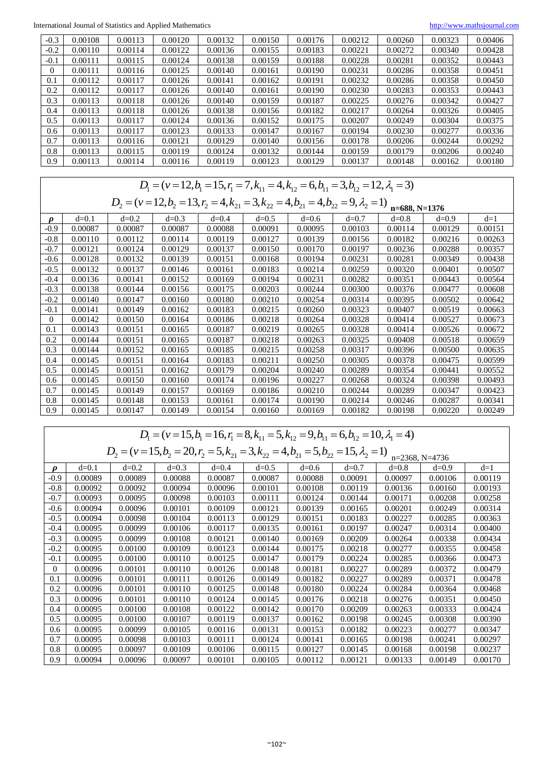International Journal of Statistics and Applied Mathematics [http://www.mathsjournal.com](http://www.mathsjournal.com/)

| $-0.3$ | 0.00108 | 0.00113 | 0.00120 | 0.00132 | 0.00150 | 0.00176 | 0.00212 | 0.00260 | 0.00323 | 0.00406 |
|--------|---------|---------|---------|---------|---------|---------|---------|---------|---------|---------|
| $-0.2$ | 0.00110 | 0.00114 | 0.00122 | 0.00136 | 0.00155 | 0.00183 | 0.00221 | 0.00272 | 0.00340 | 0.00428 |
| $-0.1$ | 0.00111 | 0.00115 | 0.00124 | 0.00138 | 0.00159 | 0.00188 | 0.00228 | 0.00281 | 0.00352 | 0.00443 |
| 0      | 0.00111 | 0.00116 | 0.00125 | 0.00140 | 0.00161 | 0.00190 | 0.00231 | 0.00286 | 0.00358 | 0.00451 |
| 0.1    | 0.00112 | 0.00117 | 0.00126 | 0.00141 | 0.00162 | 0.00191 | 0.00232 | 0.00286 | 0.00358 | 0.00450 |
| 0.2    | 0.00112 | 0.00117 | 0.00126 | 0.00140 | 0.00161 | 0.00190 | 0.00230 | 0.00283 | 0.00353 | 0.00443 |
| 0.3    | 0.00113 | 0.00118 | 0.00126 | 0.00140 | 0.00159 | 0.00187 | 0.00225 | 0.00276 | 0.00342 | 0.00427 |
| 0.4    | 0.00113 | 0.00118 | 0.00126 | 0.00138 | 0.00156 | 0.00182 | 0.00217 | 0.00264 | 0.00326 | 0.00405 |
| 0.5    | 0.00113 | 0.00117 | 0.00124 | 0.00136 | 0.00152 | 0.00175 | 0.00207 | 0.00249 | 0.00304 | 0.00375 |
| 0.6    | 0.00113 | 0.00117 | 0.00123 | 0.00133 | 0.00147 | 0.00167 | 0.00194 | 0.00230 | 0.00277 | 0.00336 |
| 0.7    | 0.00113 | 0.00116 | 0.00121 | 0.00129 | 0.00140 | 0.00156 | 0.00178 | 0.00206 | 0.00244 | 0.00292 |
| 0.8    | 0.00113 | 0.00115 | 0.00119 | 0.00124 | 0.00132 | 0.00144 | 0.00159 | 0.00179 | 0.00206 | 0.00240 |
| 0.9    | 0.00113 | 0.00114 | 0.00116 | 0.00119 | 0.00123 | 0.00129 | 0.00137 | 0.00148 | 0.00162 | 0.00180 |

| 0.8                 | 0.00113                                                                                                             | 0.00115 | 0.00119 | 0.00124 | 0.00132 | 0.00144 | 0.00159 | 0.00179 | 0.00206 | 0.00240 |  |
|---------------------|---------------------------------------------------------------------------------------------------------------------|---------|---------|---------|---------|---------|---------|---------|---------|---------|--|
| 0.9                 | 0.00113                                                                                                             | 0.00114 | 0.00116 | 0.00119 | 0.00123 | 0.00129 | 0.00137 | 0.00148 | 0.00162 | 0.00180 |  |
|                     |                                                                                                                     |         |         |         |         |         |         |         |         |         |  |
|                     | $D_1 = (v = 12, b_1 = 15, r_1 = 7, k_{11} = 4, k_{12} = 6, b_{11} = 3, b_{12} = 12, \lambda_1 = 3)$                 |         |         |         |         |         |         |         |         |         |  |
|                     |                                                                                                                     |         |         |         |         |         |         |         |         |         |  |
|                     | $D_2 = (v = 12, b_2 = 13, r_2 = 4, k_{21} = 3, k_{22} = 4, b_{21} = 4, b_{22} = 9, \lambda_2 = 1)$<br>n=688, N=1376 |         |         |         |         |         |         |         |         |         |  |
| $\boldsymbol{\rho}$ | $d=0.1$                                                                                                             | $d=0.2$ | $d=0.3$ | $d=0.4$ | $d=0.5$ | $d=0.6$ | $d=0.7$ | $d=0.8$ | $d=0.9$ | $d=1$   |  |
| $-0.9$              | 0.00087                                                                                                             | 0.00087 | 0.00087 | 0.00088 | 0.00091 | 0.00095 | 0.00103 | 0.00114 | 0.00129 | 0.00151 |  |
| $-0.8$              | 0.00110                                                                                                             | 0.00112 | 0.00114 | 0.00119 | 0.00127 | 0.00139 | 0.00156 | 0.00182 | 0.00216 | 0.00263 |  |
| $-0.7$              | 0.00121                                                                                                             | 0.00124 | 0.00129 | 0.00137 | 0.00150 | 0.00170 | 0.00197 | 0.00236 | 0.00288 | 0.00357 |  |
| $-0.6$              | 0.00128                                                                                                             | 0.00132 | 0.00139 | 0.00151 | 0.00168 | 0.00194 | 0.00231 | 0.00281 | 0.00349 | 0.00438 |  |
| $-0.5$              | 0.00132                                                                                                             | 0.00137 | 0.00146 | 0.00161 | 0.00183 | 0.00214 | 0.00259 | 0.00320 | 0.00401 | 0.00507 |  |
| $-0.4$              | 0.00136                                                                                                             | 0.00141 | 0.00152 | 0.00169 | 0.00194 | 0.00231 | 0.00282 | 0.00351 | 0.00443 | 0.00564 |  |
| $-0.3$              | 0.00138                                                                                                             | 0.00144 | 0.00156 | 0.00175 | 0.00203 | 0.00244 | 0.00300 | 0.00376 | 0.00477 | 0.00608 |  |
| $-0.2$              | 0.00140                                                                                                             | 0.00147 | 0.00160 | 0.00180 | 0.00210 | 0.00254 | 0.00314 | 0.00395 | 0.00502 | 0.00642 |  |
| $-0.1$              | 0.00141                                                                                                             | 0.00149 | 0.00162 | 0.00183 | 0.00215 | 0.00260 | 0.00323 | 0.00407 | 0.00519 | 0.00663 |  |
| $\overline{0}$      | 0.00142                                                                                                             | 0.00150 | 0.00164 | 0.00186 | 0.00218 | 0.00264 | 0.00328 | 0.00414 | 0.00527 | 0.00673 |  |
| 0.1                 | 0.00143                                                                                                             | 0.00151 | 0.00165 | 0.00187 | 0.00219 | 0.00265 | 0.00328 | 0.00414 | 0.00526 | 0.00672 |  |
| 0.2                 | 0.00144                                                                                                             | 0.00151 | 0.00165 | 0.00187 | 0.00218 | 0.00263 | 0.00325 | 0.00408 | 0.00518 | 0.00659 |  |
| 0.3                 | 0.00144                                                                                                             | 0.00152 | 0.00165 | 0.00185 | 0.00215 | 0.00258 | 0.00317 | 0.00396 | 0.00500 | 0.00635 |  |
| 0.4                 | 0.00145                                                                                                             | 0.00151 | 0.00164 | 0.00183 | 0.00211 | 0.00250 | 0.00305 | 0.00378 | 0.00475 | 0.00599 |  |
| 0.5                 | 0.00145                                                                                                             | 0.00151 | 0.00162 | 0.00179 | 0.00204 | 0.00240 | 0.00289 | 0.00354 | 0.00441 | 0.00552 |  |
| 0.6                 | 0.00145                                                                                                             | 0.00150 | 0.00160 | 0.00174 | 0.00196 | 0.00227 | 0.00268 | 0.00324 | 0.00398 | 0.00493 |  |
| 0.7                 | 0.00145                                                                                                             | 0.00149 | 0.00157 | 0.00169 | 0.00186 | 0.00210 | 0.00244 | 0.00289 | 0.00347 | 0.00423 |  |
| 0.8                 | 0.00145                                                                                                             | 0.00148 | 0.00153 | 0.00161 | 0.00174 | 0.00190 | 0.00214 | 0.00246 | 0.00287 | 0.00341 |  |
| 0.9                 | 0.00145                                                                                                             | 0.00147 | 0.00149 | 0.00154 | 0.00160 | 0.00169 | 0.00182 | 0.00198 | 0.00220 | 0.00249 |  |

| 0.8                 | 0.00145                                                                                                               | 0.00148 | 0.00153 | 0.00161 | 0.00174 | 0.00190 | 0.00214 | 0.00246 | 0.00287 | 0.00341 |  |
|---------------------|-----------------------------------------------------------------------------------------------------------------------|---------|---------|---------|---------|---------|---------|---------|---------|---------|--|
| 0.9                 | 0.00145                                                                                                               | 0.00147 | 0.00149 | 0.00154 | 0.00160 | 0.00169 | 0.00182 | 0.00198 | 0.00220 | 0.00249 |  |
|                     |                                                                                                                       |         |         |         |         |         |         |         |         |         |  |
|                     | $D_1 = (v = 15, b_1 = 16, r_1 = 8, k_{11} = 5, k_{12} = 9, b_{11} = 6, b_{12} = 10, \lambda_1 = 4)$                   |         |         |         |         |         |         |         |         |         |  |
|                     |                                                                                                                       |         |         |         |         |         |         |         |         |         |  |
|                     | $D_2 = (v = 15, b_2 = 20, r_2 = 5, k_{21} = 3, k_{22} = 4, b_{21} = 5, b_{22} = 15, \lambda_2 = 1)$<br>n=2368, N=4736 |         |         |         |         |         |         |         |         |         |  |
| $\boldsymbol{\rho}$ | $d = 0.1$                                                                                                             | $d=0.2$ | $d=0.3$ | $d=0.4$ | $d=0.5$ | $d=0.6$ | $d=0.7$ | $d=0.8$ | $d=0.9$ | $d=1$   |  |
| $-0.9$              | 0.00089                                                                                                               | 0.00089 | 0.00088 | 0.00087 | 0.00087 | 0.00088 | 0.00091 | 0.00097 | 0.00106 | 0.00119 |  |
| $-0.8$              | 0.00092                                                                                                               | 0.00092 | 0.00094 | 0.00096 | 0.00101 | 0.00108 | 0.00119 | 0.00136 | 0.00160 | 0.00193 |  |
| $-0.7$              | 0.00093                                                                                                               | 0.00095 | 0.00098 | 0.00103 | 0.00111 | 0.00124 | 0.00144 | 0.00171 | 0.00208 | 0.00258 |  |
| $-0.6$              | 0.00094                                                                                                               | 0.00096 | 0.00101 | 0.00109 | 0.00121 | 0.00139 | 0.00165 | 0.00201 | 0.00249 | 0.00314 |  |
| $-0.5$              | 0.00094                                                                                                               | 0.00098 | 0.00104 | 0.00113 | 0.00129 | 0.00151 | 0.00183 | 0.00227 | 0.00285 | 0.00363 |  |
| -0.4                | 0.00095                                                                                                               | 0.00099 | 0.00106 | 0.00117 | 0.00135 | 0.00161 | 0.00197 | 0.00247 | 0.00314 | 0.00400 |  |
| $-0.3$              | 0.00095                                                                                                               | 0.00099 | 0.00108 | 0.00121 | 0.00140 | 0.00169 | 0.00209 | 0.00264 | 0.00338 | 0.00434 |  |
| $-0.2$              | 0.00095                                                                                                               | 0.00100 | 0.00109 | 0.00123 | 0.00144 | 0.00175 | 0.00218 | 0.00277 | 0.00355 | 0.00458 |  |
| $-0.1$              | 0.00095                                                                                                               | 0.00100 | 0.00110 | 0.00125 | 0.00147 | 0.00179 | 0.00224 | 0.00285 | 0.00366 | 0.00473 |  |
| $\mathbf{0}$        | 0.00096                                                                                                               | 0.00101 | 0.00110 | 0.00126 | 0.00148 | 0.00181 | 0.00227 | 0.00289 | 0.00372 | 0.00479 |  |
| 0.1                 | 0.00096                                                                                                               | 0.00101 | 0.00111 | 0.00126 | 0.00149 | 0.00182 | 0.00227 | 0.00289 | 0.00371 | 0.00478 |  |
| 0.2                 | 0.00096                                                                                                               | 0.00101 | 0.00110 | 0.00125 | 0.00148 | 0.00180 | 0.00224 | 0.00284 | 0.00364 | 0.00468 |  |
| 0.3                 | 0.00096                                                                                                               | 0.00101 | 0.00110 | 0.00124 | 0.00145 | 0.00176 | 0.00218 | 0.00276 | 0.00351 | 0.00450 |  |
| 0.4                 | 0.00095                                                                                                               | 0.00100 | 0.00108 | 0.00122 | 0.00142 | 0.00170 | 0.00209 | 0.00263 | 0.00333 | 0.00424 |  |
| 0.5                 | 0.00095                                                                                                               | 0.00100 | 0.00107 | 0.00119 | 0.00137 | 0.00162 | 0.00198 | 0.00245 | 0.00308 | 0.00390 |  |
| 0.6                 | 0.00095                                                                                                               | 0.00099 | 0.00105 | 0.00116 | 0.00131 | 0.00153 | 0.00182 | 0.00223 | 0.00277 | 0.00347 |  |
| 0.7                 | 0.00095                                                                                                               | 0.00098 | 0.00103 | 0.00111 | 0.00124 | 0.00141 | 0.00165 | 0.00198 | 0.00241 | 0.00297 |  |
| 0.8                 | 0.00095                                                                                                               | 0.00097 | 0.00109 | 0.00106 | 0.00115 | 0.00127 | 0.00145 | 0.00168 | 0.00198 | 0.00237 |  |
| 0.9                 | 0.00094                                                                                                               | 0.00096 | 0.00097 | 0.00101 | 0.00105 | 0.00112 | 0.00121 | 0.00133 | 0.00149 | 0.00170 |  |